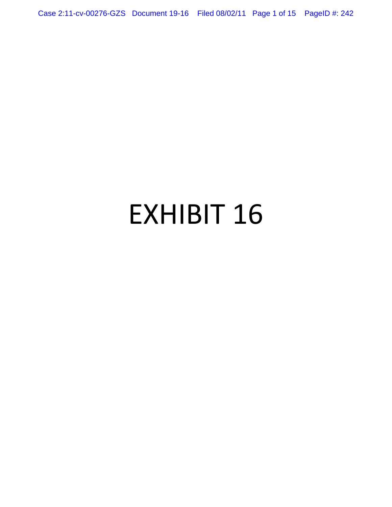Case 2:11-cv-00276-GZS Document 19-16 Filed 08/02/11 Page 1 of 15 PageID #: 242

# EXHIBIT 16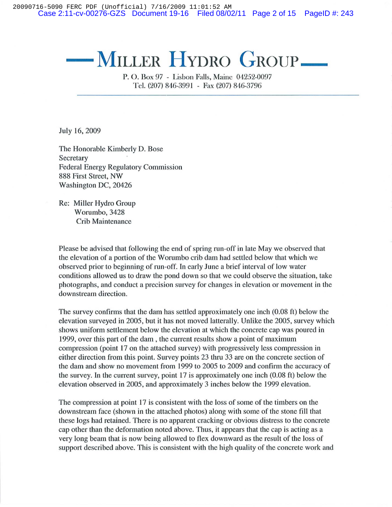20090716-5090 FERC PDF (Unofficial) 7/16/2009 11:01:52 AM Case 2:11-cv-00276-GZS Document 19-16 Filed 08/02/11 Page 2 of 15 PageID #: 243

# $-$ **MILLER HYDRO GROUP**

P. O. Box 97 - Lisbon Falls, Maine 04252-0097 Tel. (207) 846-3991 - Fax (207) 846-3796

July 16, 2009

The Honorable Kimberly D. Bose **Secretary** Federal Energy Regulatory Commission 888 First Street, NW Washington DC, 20426

Re: Miller Hydro Group Worumbo, 3428 Crib Maintenance

Please be advised that following the end of spring run-off in late May we observed that the elevation of a portion of the Worumbo crib dam had settled below that which we observed prior to beginning of run-off. **In** early June a brief interval of low water conditions allowed us to draw the pond down so that we could observe the situation, take photographs, and conduct a precision survey for changes in elevation or movement in the downstream direction.

The survey confirms that the dam has settled approximately one inch (0.08 ft) below the elevation surveyed in 2005, but it has not moved latterally. Unlike the 2005, survey which shows uniform settlement below the elevation at which the concrete cap was poured in 1999, over this part of the dam, the current results show a point of maximum compression (point 17 on the attached survey) with progressively less compression in either direction from this point. Survey points 23 thru 33 are on the concrete section of the dam and show no movement from 1999 to 2005 to 2009 and confirm the accuracy of the survey. **In** the current survey, point 17 is approximately one inch (0.08 ft) below the elevation observed in 2005, and approximately 3 inches below the 1999 elevation.

The compression at point 17 is consistent with the loss of some of the timbers on the downstream face (shown in the attached photos) along with some of the stone fill that these logs had retained. There is no apparent cracking or obvious distress to the concrete cap other than the deformation noted above. Thus, it appears that the cap is acting as a very long beam that is now being allowed to flex downward as the result of the loss of support described above. This is consistent with the high quality of the concrete work and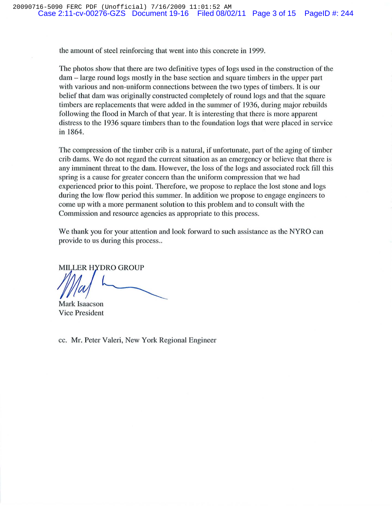the amount of steel reinforcing that went into this concrete in 1999.

The photos show that there are two definitive types of logs used in the construction of the dam - large round logs mostly in the base section and square timbers in the upper part with various and non-uniform connections between the two types of timbers. It is our belief that dam was originally constructed completely of round logs and that the square timbers are replacements that were added in the summer of 1936, during major rebuilds following the flood in March of that year. It is interesting that there is more apparent distress to the 1936 square timbers than to the foundation logs that were placed in service in 1864.

The compression of the timber crib is a natural, if unfortunate, part of the aging of timber crib dams. We do not regard the current situation as an emergency or believe that there is any imminent threat to the dam. However, the loss of the logs and associated rock fill this spring is a cause for greater concern than the uniform compression that we had experienced prior to this point. Therefore, we propose to replace the lost stone and logs during the low flow period this summer. **In** addition we propose to engage engineers to come up with a more permanent solution to this problem and to consult with the Commission and resource agencies as appropriate to this process.

We thank you for your attention and look forward to such assistance as the NYRO can provide to us during this process...

*MILLER HYDRO GROUP* 

Mark Isaacson

Vice President

cc. Mr. Peter Valeri, New York Regional Engineer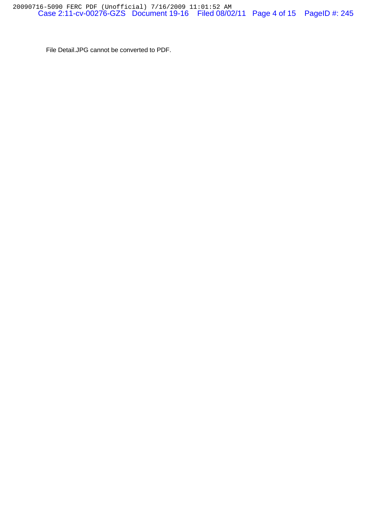File Detail.JPG cannot be converted to PDF.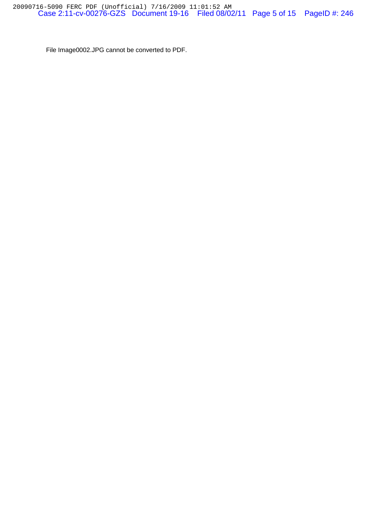File Image0002.JPG cannot be converted to PDF.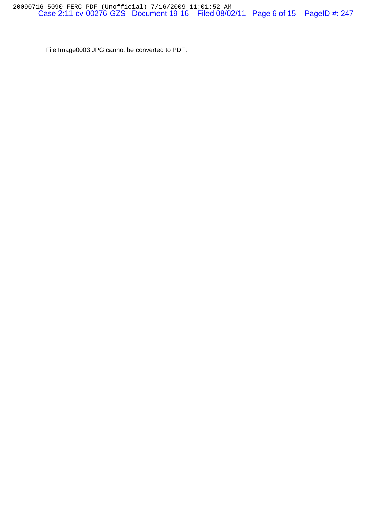File Image0003.JPG cannot be converted to PDF.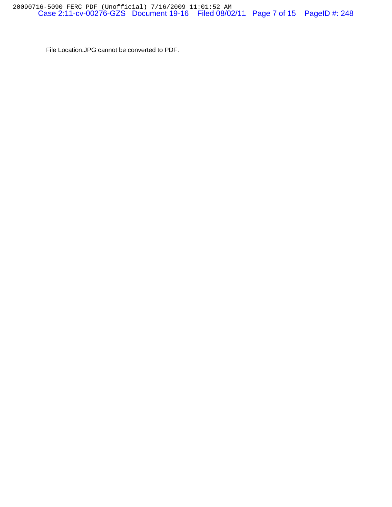File Location.JPG cannot be converted to PDF.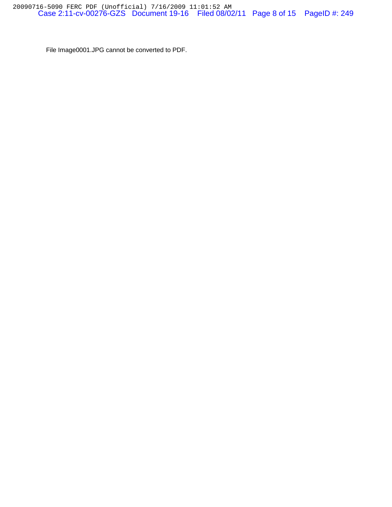File Image0001.JPG cannot be converted to PDF.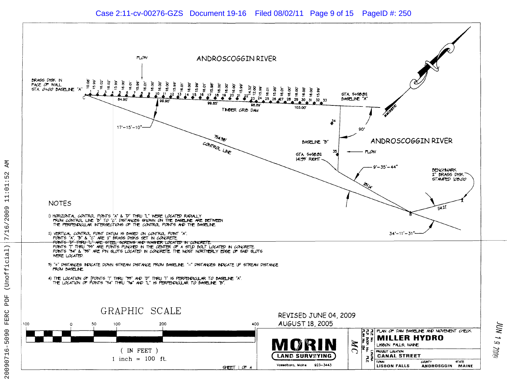#### Case 2:11-cv-00276-GZS Document 19-16 Filed 08/02/11 Page 9 of 15 PageID #: 250



ĀМ

 $\mathbf{\Omega}$ 

Б

 $\ddot{\phantom{a}}$ 

**UN 1 9 70PC**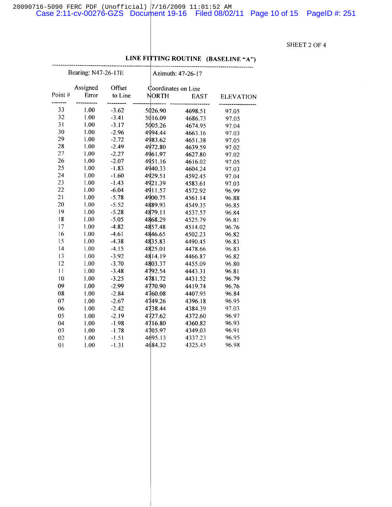20090716-5090 FERC PDF (Unofficial) 7/16/2009 11:01:52 AM<br>Case 2:11-cv-00276-GZS Document 19-16 Filed 08/02/11 Page 10 of 15 PageID #: 251

#### SHEET 2 OF 4

| Bearing: N47-26-17E |                   |                   |  | Azimuth: 47-26-17                   |             |                  |  |
|---------------------|-------------------|-------------------|--|-------------------------------------|-------------|------------------|--|
| Point#              | Assigned<br>Error | Offset<br>to Line |  | Coordinates on Line<br><b>NORTH</b> | <b>EAST</b> | <b>ELEVATION</b> |  |
|                     |                   |                   |  |                                     |             |                  |  |
| 33                  | 1.00              | $-3.62$           |  | 5026.90                             | 4698.51     | 97.05            |  |
| 32                  | 1.00              | $-3.41$           |  | 5016.09                             | 4686.73     | 97.05            |  |
| 31                  | 1.00              | $-3.17$           |  | 5005.26                             | 4674.95     | 97.04            |  |
| 30                  | 1.00              | $-2.96$           |  | 4994.44                             | 4663.16     | 97.03            |  |
| 29                  | 1.00              | $-2.72$           |  | 4983.62                             | 4651.38     | 97.05            |  |
| 28                  | 1.00              | $-2.49$           |  | 4972.80                             | 4639.59     | 97.02            |  |
| 27                  | 1.00              | $-2.27$           |  | 4961.97                             | 4627.80     | 97.02            |  |
| 26                  | 1.00              | $-2.07$           |  | 4951.16                             | 4616.02     | 97.05            |  |
| 25                  | 1.00              | $-1.83$           |  | 4940.33                             | 4604.24     | 97.03            |  |
| 24                  | 1.00              | $-1.60$           |  | 4929.51                             | 4592.45     | 97.04            |  |
| 23                  | 1.00              | $-1.43$           |  | 4921.39                             | 4583.61     | 97.03            |  |
| 22                  | 1.00              | $-6.04$           |  | 4911.57                             | 4572.92     | 96.99            |  |
| 21                  | 1.00              | $-5.78$           |  | 4900.75                             | 4561.14     | 96.88            |  |
| 20                  | 1.00              | $-5.52$           |  | 4889.93                             | 4549.35     | 96.85            |  |
| 19                  | 1.00              | $-5.28$           |  | 4879.11                             | 4537.57     | 96.84            |  |
| 18                  | 1.00              | $-5.05$           |  | 4868.29                             | 4525.79     | 96.81            |  |
| 17                  | 1.00              | $-4.82$           |  | 4857.48                             | 4514.02     | 96.76            |  |
| 16                  | 1.00              | $-4.61$           |  | 4846.65                             | 4502.23     | 96.82            |  |
| 15                  | 1.00              | $-4.38$           |  | 4835.83                             | 4490.45     | 96.83            |  |
| 4                   | 1.00              | $-4.15$           |  | 4825.01                             | 4478.66     | 96.83            |  |
| 13                  | 1.00              | $-3.92$           |  | 4814.19                             | 4466.87     | 96.82            |  |
| 12                  | 1.00              | $-3.70$           |  | 4803.37                             | 4455.09     | 96.80            |  |
| $\overline{11}$     | 1.00              | $-3.48$           |  | 4792.54                             | 4443.31     | 96.81            |  |
| 10                  | 1.00              | $-3.25$           |  | 4781.72                             | 4431.52     | 96.79            |  |
| 09                  | 1.00              | $-2.99$           |  | 4770.90                             | 4419.74     | 96.76            |  |
| 08                  | 1.00              | $-2.84$           |  | 4760.08                             | 4407.95     | 96.84            |  |
| 07                  | 1.00              | $-2.67$           |  | 4749.26                             | 4396.18     | 96.95            |  |
| 06                  | 1.00              | $-2.42$           |  | 4738.44                             | 4384.39     | 97.03            |  |
| 05                  | 1.00              | $-2.19$           |  | 4727.62                             | 4372.60     | 96.97            |  |
| 04                  | 1.00              | $-1.98$           |  | 4716.80                             | 4360.82     | 96.93            |  |
| 03                  | 1.00              | $-1.78$           |  | 4705.97                             | 4349.03     | 96.91            |  |
| 02                  | 1.00              | $-1.51$           |  | 4695.13                             | 4337.23     | 96.95            |  |
| 0 <sub>1</sub>      |                   | $-1.31$           |  | 4684.32                             | 4325.45     | 96.98            |  |
|                     | 1.00              |                   |  |                                     |             |                  |  |

### LINE FITTING ROUTINE (BASELINE "A")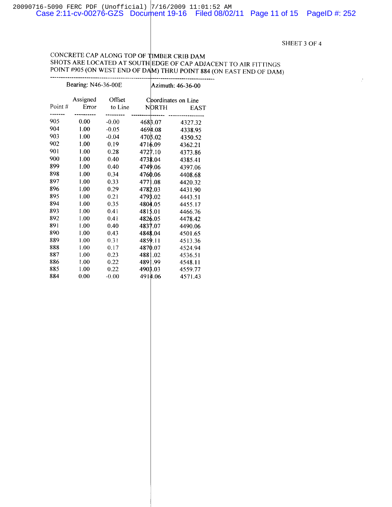#### SHEET 3 OF 4 SHEET 3 OF 4

 $\mathcal{I}$ 

### CONCRETE CAP ALONG TOP OF BER CRIB DAM CONCRETE CAP ALONG TOP OF IMBER CRIB DAM SHOTS ARE LOCATED AT SOUTH EDGE OF CAP ADJACENT TO AIR FITTINGS POINT #905 (ON WEST END OF DAM) THRU POINT 884 (ON EAST END OF DAM)

| Bearing: N46-36-00E |                   |                   |         | Azimuth: 46-36-00 |                             |  |
|---------------------|-------------------|-------------------|---------|-------------------|-----------------------------|--|
| Point#              | Assigned<br>Error | Offset<br>to Line |         | <b>NORTH</b>      | Coordinates on Line<br>EAST |  |
| 905                 | 0.00              | $-0.00$           | 468B.07 |                   | 4327.32                     |  |
| 904                 | 1.00              | $-0.05$           | 4694.08 |                   | 4338.95                     |  |
| 903                 | 1.00              | $-0.04$           | 4705.02 |                   | 4350.52                     |  |
| 902                 | 1.00              | 0.19              | 4716.09 |                   | 4362.21                     |  |
| 901                 | 1.00              | 0.28              | 4727.10 |                   | 4373.86                     |  |
| 900                 | 1.00              | 0.40              | 4738.04 |                   | 4385.41                     |  |
| 899                 | 1.00              | 0.40              | 4749.06 |                   | 4397.06                     |  |
| 898                 | 1.00              | 0.34              | 4760.06 |                   | 4408.68                     |  |
| 897                 | 1.00              | 0.33              | 4771.08 |                   | 4420.32                     |  |
| 896                 | 1.00              | 0.29              | 4782.03 |                   | 4431.90                     |  |
| 895                 | 1.00              | 0.21              | 4793.02 |                   | 4443.51                     |  |
| 894                 | 1.00              | 0.35              | 4804.05 |                   | 4455.17                     |  |
| 893                 | 1.00              | 0.41              | 4815.01 |                   | 4466.76                     |  |
| 892                 | 1.00              | 0.41              | 4826.05 |                   | 4478.42                     |  |
| 891                 | 1.00              | 0.40              | 4837.07 |                   | 4490.06                     |  |
| 890                 | 1.00              | 0.43              | 4848.04 |                   | 4501.65                     |  |
| 889                 | 1.00              | 0.31              | 4859.11 |                   | 4513.36                     |  |
| 888                 | 1.00              | 0.17              | 4870.07 |                   | 4524.94                     |  |
| 887                 | 1.00              | 0.23              | 4881.02 |                   | 4536.51                     |  |
| 886                 | 1.00              | 0.22              | 4891.99 |                   | 4548.11                     |  |
| 885                 | 1.00              | 0.22              | 4903.03 |                   | 4559.77                     |  |
| 884                 | 0.00              | $-0.00$           | 4914.06 |                   | 4571.43                     |  |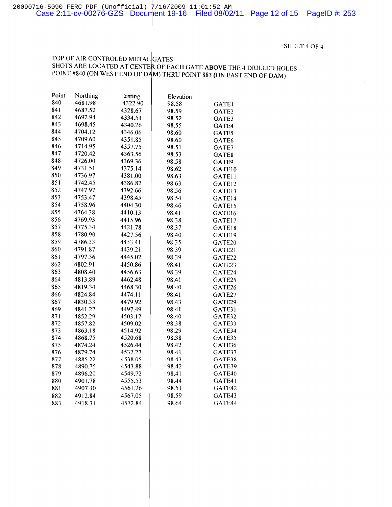SHEET 4 OF 4

#### TOP OF AIR CONTROLED METAL GATES SHOTS ARE LOCATED AT CENTER OF EACH GATE ABOVE THE 4 DRILLED HOLES POINT #840 (ON WEST END OF DAM) THRU POINT 883 (ON EAST END OF DAM)

| Point | Northing | Easting | Elevation |              |
|-------|----------|---------|-----------|--------------|
| 840   | 4681.98  | 4322.90 | 98.58     | <b>GATE1</b> |
| 841   | 4687.52  | 4328.67 | 98.59     | GATE2        |
| 842   | 4692.94  | 4334.51 | 98.52     | GATE3        |
| 843   | 4698.45  | 4340.26 | 98.55     | GATE4        |
| 844   | 4704.12  | 4346.06 | 98.60     | GATE5        |
| 845   | 4709.60  | 4351.85 | 98.60     | GATE6        |
| 846   | 4714.95  | 4357.75 | 98.51     | GATE7        |
| 847   | 4720.42  | 4363.56 | 98.53     | GATE8        |
| 848   | 4726.00  | 4369.36 | 98.58     | GATE9        |
| 849   | 4731.51  | 4375.14 | 98.62     | GATE10       |
| 850   | 4736.97  | 4381.00 | 98.63     | GATE11       |
| 851   | 4742.45  | 4386.82 | 98.63     | GATE12       |
| 852   | 4747.97  | 4392.66 | 98.56     | GATE13       |
| 853   | 4753.47  | 4398.45 | 98.54     | GATE14       |
| 854   | 4758.96  | 4404.30 | 98.46     | GATE15       |
| 855   | 4764.38  | 4410.13 | 98.41     | GATE16       |
| 856   | 4769.93  | 4415.96 | 98.38     | GATE17       |
| 857   | 4775.34  | 4421.78 | 98.37     | GATE18       |
| 858   | 4780.90  | 4427.56 | 98.40     | GATE19       |
| 859   | 4786.33  | 4433.41 | 98.35     | GATE20       |
| 860   | 4791.87  | 4439.21 | 98.39     | GATE21       |
| 861   | 4797.36  | 4445.02 | 98.39     | GATE22       |
| 862   | 4802.91  | 4450.86 | 98.41     | GATE23       |
| 863   | 4808.40  | 4456.63 | 98,39     | GATE24       |
| 864   | 4813.89  | 4462.48 | 98.41     | GATE25       |
| 865   | 4819.34  | 4468.30 | 98.40     | GATE26       |
| 866   | 4824.84  | 4474.11 | 98.41     | GATE27       |
| 867   | 4830.33  | 4479.92 | 98.43     | GATE29       |
| 869   | 4841.27  | 4497.49 | 98.41     | GATE31       |
| 871   | 4852.29  | 4503.17 | 98.40     | GATE32       |
| 872   | 4857.82  | 4509.02 | 98.38     | GATE33       |
| 873   | 4863.18  | 4514.92 | 98.29     | GATE34       |
| 874   | 4868.75  | 4520.68 | 98.38     | GATE35       |
| 875   | 4874.24  | 4526.44 | 98.42     | GATE36       |
| 876   | 4879.74  | 4532.27 | 98.41     | GATE37       |
| 877   | 4885.22  | 4538.05 | 98.43     | GATE38       |
| 878   | 4890.75  | 4543.88 | 98.42     | GATE39       |
| 879   | 4896.20  | 4549.72 | 98.41     | GATE40       |
| 880   | 4901.78  | 4555.53 | 98.44     | GATE41       |
| 881   | 4907.30  | 4561.26 | 98.51     | GATE42       |
| 882   | 4912.84  | 4567.05 | 98.59     | GATE43       |
| 883   | 4918.31  | 4572.84 | 98.64     | GATE44       |
|       |          |         |           |              |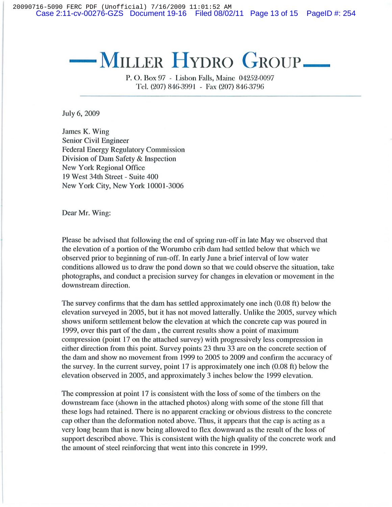20090716-5090 FERC PDF (Unofficial) 7/16/2009 11:01:52 AM Case 2:11-cv-00276-GZS Document 19-16 Filed 08/02/11 Page 13 of 15 PageID #: 254

# $-$ **MILLER HYDRO GROUP**

P. O. Box 97 - Lisbon Falls, Maine 04252-0097 Tel. (207) 846-3991 - Fax (207) 846-3796

July 6,2009

James K. Wing Senior Civil Engineer Federal Energy Regulatory Commission Division of Dam Safety & Inspection New York Regional Office 19 West 34th Street - Suite 400 New York City, New York 10001-3006

Dear Mr. Wing:

Please be advised that following the end of spring run-off in late May we observed that the elevation of a portion of the Worumbo crib dam had settled below that which we observed prior to beginning of run-off. **In** early June a brief interval of low water conditions allowed us to draw the pond down so that we could observe the situation, take photographs, and conduct a precision survey for changes in elevation or movement in the downstream direction.

The survey confirms that the dam has settled approximately one inch (0.08 ft) below the elevation surveyed in 2005, but it has not moved latterally. Unlike the 2005, survey which shows uniform settlement below the elevation at which the concrete cap was poured in 1999, over this part of the dam, the current results show a point of maximum compression (point 17 on the attached survey) with progressively less compression in either direction from this point. Survey points 23 thru 33 are on the concrete section of the dam and show no movement from 1999 to 2005 to 2009 and confirm the accuracy of the survey. **In** the current survey, point 17 is approximately one inch (0.08 ft) below the elevation observed in 2005, and approximately 3 inches below the 1999 elevation.

The compression at point 17 is consistent with the loss of some of the timbers on the downstream face (shown in the attached photos) along with some of the stone fill that these logs had retained. There is no apparent cracking or obvious distress to the concrete cap other than the deformation noted above. Thus, it appears that the cap is acting as a very long beam that is now being allowed to flex downward as the result of the loss of support described above. This is consistent with the high quality of the concrete work and the amount of steel reinforcing that went into this concrete in 1999.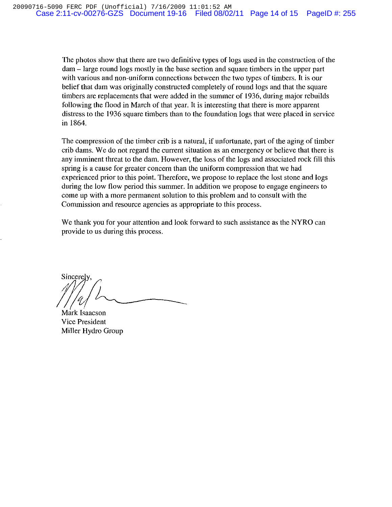The photos show that there are two definitive types of logs used in the construction of the dam - large round logs mostly in the base section and square timbers in the upper part with various and non-uniform connections between the two types of timbers. It is our belief that dam was originally constructed completely of round logs and that the square timbers are replacements that were added in the summer of 1936, during major rebuilds following the flood in March of that year. It is interesting that there is more apparent distress to the 1936 square timbers than to the foundation logs that were placed in service in 1864.

The compression of the timber crib is a natural, if unfortunate, part of the aging of timber crib dams. We do not regard the current situation as an emergency or believe that there is any imminent threat to the dam. However, the loss of the logs and associated rock fill this spring is a cause for greater concern than the uniform compression that we had experienced prior to this point. Therefore, we propose to replace the lost stone and logs during the low flow period this summer. In addition we propose to engage engineers to come up with a more permanent solution to this problem and to consult with the Commission and resource agencies as appropriate to this process.

We thank you for your attention and look forward to such assistance as the NYRO can provide to us during this process.

Sincerel

Mark Isaacson Vice President Miller Hydro Group